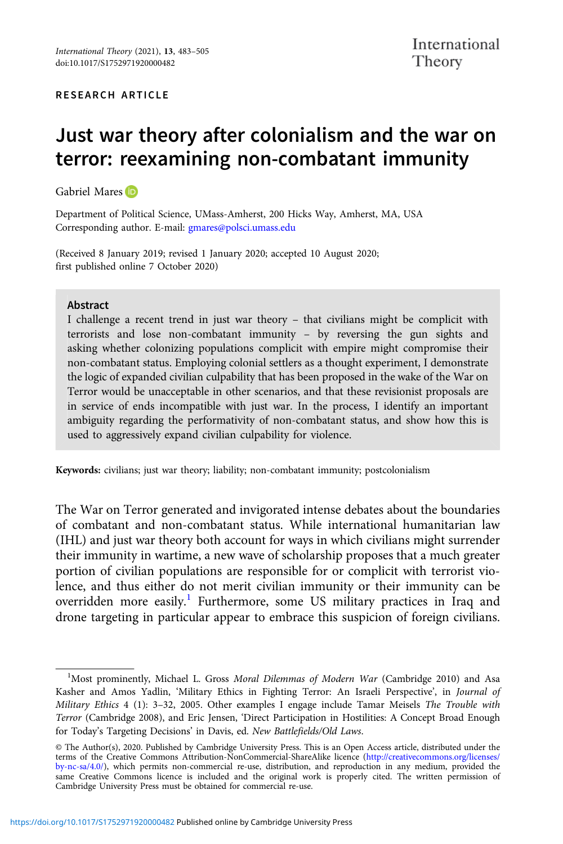# Just war theory after colonialism and the war on terror: reexamining non-combatant immunity

Gabriel Mares ID

Department of Political Science, UMass-Amherst, 200 Hicks Way, Amherst, MA, USA Corresponding author. E-mail: [gmares@polsci.umass.edu](mailto:gmares@polsci.umass.edu)

(Received 8 January 2019; revised 1 January 2020; accepted 10 August 2020; first published online 7 October 2020)

#### Abstract

I challenge a recent trend in just war theory – that civilians might be complicit with terrorists and lose non-combatant immunity – by reversing the gun sights and asking whether colonizing populations complicit with empire might compromise their non-combatant status. Employing colonial settlers as a thought experiment, I demonstrate the logic of expanded civilian culpability that has been proposed in the wake of the War on Terror would be unacceptable in other scenarios, and that these revisionist proposals are in service of ends incompatible with just war. In the process, I identify an important ambiguity regarding the performativity of non-combatant status, and show how this is used to aggressively expand civilian culpability for violence.

Keywords: civilians; just war theory; liability; non-combatant immunity; postcolonialism

The War on Terror generated and invigorated intense debates about the boundaries of combatant and non-combatant status. While international humanitarian law (IHL) and just war theory both account for ways in which civilians might surrender their immunity in wartime, a new wave of scholarship proposes that a much greater portion of civilian populations are responsible for or complicit with terrorist violence, and thus either do not merit civilian immunity or their immunity can be overridden more easily.<sup>1</sup> Furthermore, some US military practices in Iraq and drone targeting in particular appear to embrace this suspicion of foreign civilians.

<sup>&</sup>lt;sup>1</sup>Most prominently, Michael L. Gross Moral Dilemmas of Modern War (Cambridge 2010) and Asa Kasher and Amos Yadlin, 'Military Ethics in Fighting Terror: An Israeli Perspective', in Journal of Military Ethics 4 (1): 3–32, 2005. Other examples I engage include Tamar Meisels The Trouble with Terror (Cambridge 2008), and Eric Jensen, 'Direct Participation in Hostilities: A Concept Broad Enough for Today's Targeting Decisions' in Davis, ed. New Battlefields/Old Laws.

<sup>©</sup> The Author(s), 2020. Published by Cambridge University Press. This is an Open Access article, distributed under the terms of the Creative Commons Attribution-NonCommercial-ShareAlike licence [\(http://creativecommons.org/licenses/](http://creativecommons.org/licenses/by-nc-sa/4.0/) [by-nc-sa/4.0/](http://creativecommons.org/licenses/by-nc-sa/4.0/)), which permits non-commercial re-use, distribution, and reproduction in any medium, provided the same Creative Commons licence is included and the original work is properly cited. The written permission of Cambridge University Press must be obtained for commercial re-use.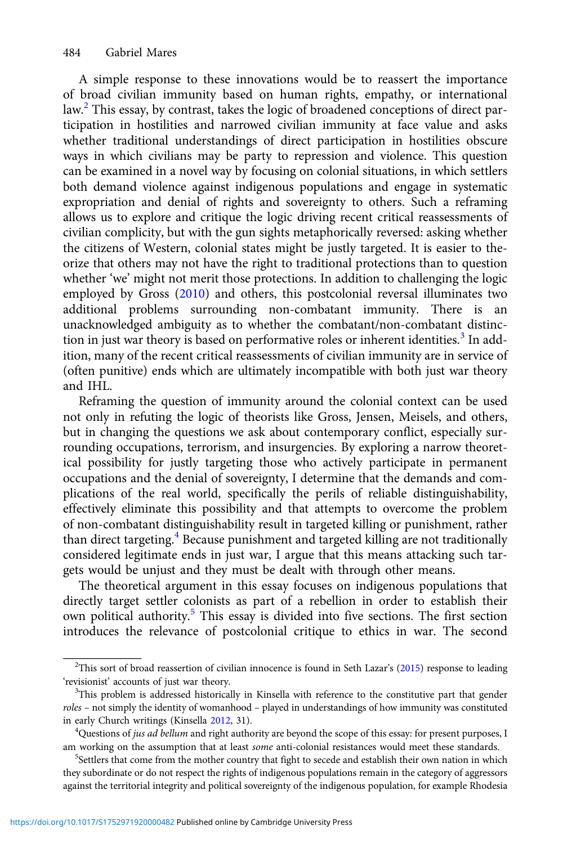A simple response to these innovations would be to reassert the importance of broad civilian immunity based on human rights, empathy, or international law.<sup>2</sup> This essay, by contrast, takes the logic of broadened conceptions of direct participation in hostilities and narrowed civilian immunity at face value and asks whether traditional understandings of direct participation in hostilities obscure ways in which civilians may be party to repression and violence. This question can be examined in a novel way by focusing on colonial situations, in which settlers both demand violence against indigenous populations and engage in systematic expropriation and denial of rights and sovereignty to others. Such a reframing allows us to explore and critique the logic driving recent critical reassessments of civilian complicity, but with the gun sights metaphorically reversed: asking whether the citizens of Western, colonial states might be justly targeted. It is easier to theorize that others may not have the right to traditional protections than to question whether 'we' might not merit those protections. In addition to challenging the logic employed by Gross [\(2010\)](#page-21-0) and others, this postcolonial reversal illuminates two additional problems surrounding non-combatant immunity. There is an unacknowledged ambiguity as to whether the combatant/non-combatant distinction in just war theory is based on performative roles or inherent identities. $3$  In addition, many of the recent critical reassessments of civilian immunity are in service of (often punitive) ends which are ultimately incompatible with both just war theory and IHL.

Reframing the question of immunity around the colonial context can be used not only in refuting the logic of theorists like Gross, Jensen, Meisels, and others, but in changing the questions we ask about contemporary conflict, especially surrounding occupations, terrorism, and insurgencies. By exploring a narrow theoretical possibility for justly targeting those who actively participate in permanent occupations and the denial of sovereignty, I determine that the demands and complications of the real world, specifically the perils of reliable distinguishability, effectively eliminate this possibility and that attempts to overcome the problem of non-combatant distinguishability result in targeted killing or punishment, rather than direct targeting.<sup>4</sup> Because punishment and targeted killing are not traditionally considered legitimate ends in just war, I argue that this means attacking such targets would be unjust and they must be dealt with through other means.

The theoretical argument in this essay focuses on indigenous populations that directly target settler colonists as part of a rebellion in order to establish their own political authority.<sup>5</sup> This essay is divided into five sections. The first section introduces the relevance of postcolonial critique to ethics in war. The second

<sup>&</sup>lt;sup>2</sup>This sort of broad reassertion of civilian innocence is found in Seth Lazar's [\(2015\)](#page-21-0) response to leading 'revisionist' accounts of just war theory.

<sup>&</sup>lt;sup>3</sup>This problem is addressed historically in Kinsella with reference to the constitutive part that gender roles – not simply the identity of womanhood – played in understandings of how immunity was constituted in early Church writings (Kinsella [2012](#page-21-0), 31). <sup>4</sup>

<sup>&</sup>lt;sup>4</sup>Questions of *jus ad bellum* and right authority are beyond the scope of this essay: for present purposes, I am working on the assumption that at least *some* anti-colonial resistances would meet these standards.

<sup>&</sup>lt;sup>5</sup>Settlers that come from the mother country that fight to secede and establish their own nation in which they subordinate or do not respect the rights of indigenous populations remain in the category of aggressors against the territorial integrity and political sovereignty of the indigenous population, for example Rhodesia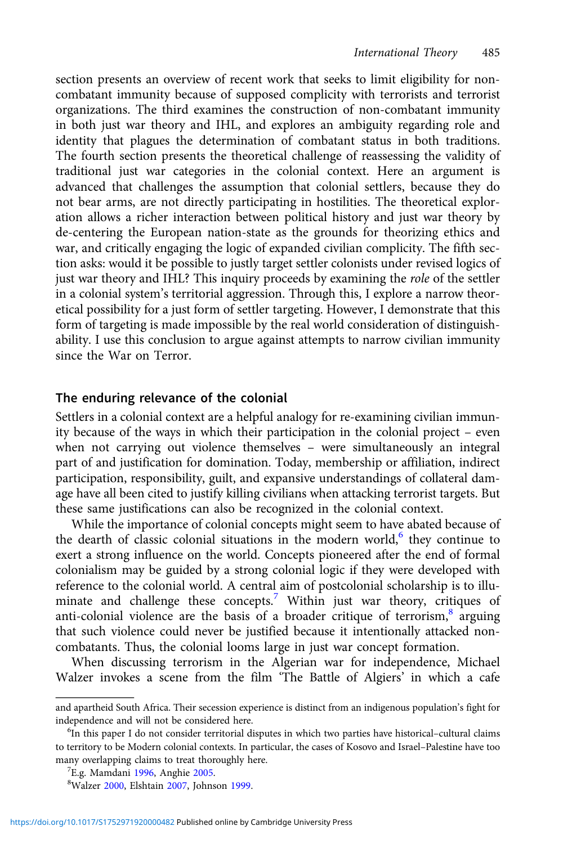section presents an overview of recent work that seeks to limit eligibility for noncombatant immunity because of supposed complicity with terrorists and terrorist organizations. The third examines the construction of non-combatant immunity in both just war theory and IHL, and explores an ambiguity regarding role and identity that plagues the determination of combatant status in both traditions. The fourth section presents the theoretical challenge of reassessing the validity of traditional just war categories in the colonial context. Here an argument is advanced that challenges the assumption that colonial settlers, because they do not bear arms, are not directly participating in hostilities. The theoretical exploration allows a richer interaction between political history and just war theory by de-centering the European nation-state as the grounds for theorizing ethics and war, and critically engaging the logic of expanded civilian complicity. The fifth section asks: would it be possible to justly target settler colonists under revised logics of just war theory and IHL? This inquiry proceeds by examining the role of the settler in a colonial system's territorial aggression. Through this, I explore a narrow theoretical possibility for a just form of settler targeting. However, I demonstrate that this form of targeting is made impossible by the real world consideration of distinguishability. I use this conclusion to argue against attempts to narrow civilian immunity since the War on Terror.

## The enduring relevance of the colonial

Settlers in a colonial context are a helpful analogy for re-examining civilian immunity because of the ways in which their participation in the colonial project – even when not carrying out violence themselves – were simultaneously an integral part of and justification for domination. Today, membership or affiliation, indirect participation, responsibility, guilt, and expansive understandings of collateral damage have all been cited to justify killing civilians when attacking terrorist targets. But these same justifications can also be recognized in the colonial context.

While the importance of colonial concepts might seem to have abated because of the dearth of classic colonial situations in the modern world, $6$  they continue to exert a strong influence on the world. Concepts pioneered after the end of formal colonialism may be guided by a strong colonial logic if they were developed with reference to the colonial world. A central aim of postcolonial scholarship is to illuminate and challenge these concepts.<sup>7</sup> Within just war theory, critiques of anti-colonial violence are the basis of a broader critique of terrorism, $\frac{8}{3}$  arguing that such violence could never be justified because it intentionally attacked noncombatants. Thus, the colonial looms large in just war concept formation.

When discussing terrorism in the Algerian war for independence, Michael Walzer invokes a scene from the film 'The Battle of Algiers' in which a cafe

and apartheid South Africa. Their secession experience is distinct from an indigenous population's fight for independence and will not be considered here.

<sup>&</sup>lt;sup>6</sup>In this paper I do not consider territorial disputes in which two parties have historical–cultural claims to territory to be Modern colonial contexts. In particular, the cases of Kosovo and Israel–Palestine have too many overlapping claims to treat thoroughly here.

 ${}^{7}E.g.$  Mamdani [1996,](#page-21-0) Anghie [2005](#page-20-0).

Walzer [2000,](#page-22-0) Elshtain [2007](#page-20-0), Johnson [1999.](#page-21-0)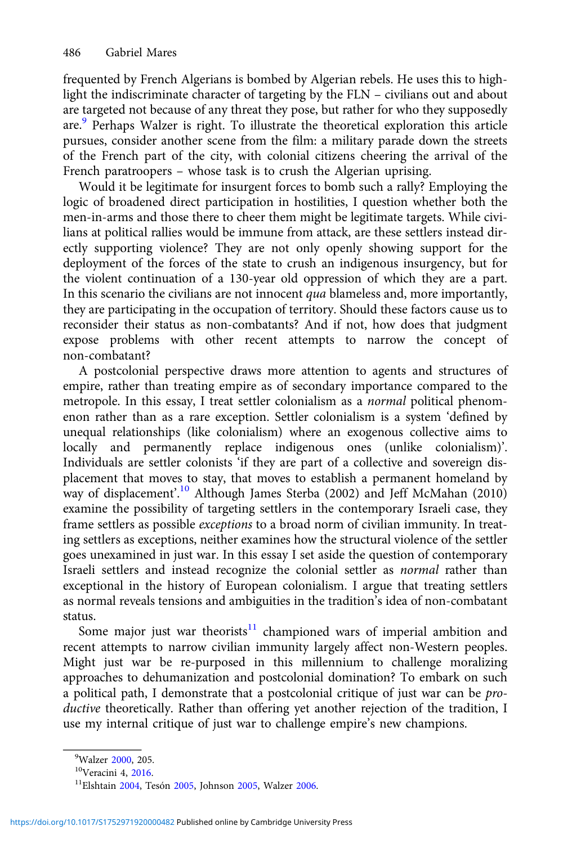frequented by French Algerians is bombed by Algerian rebels. He uses this to highlight the indiscriminate character of targeting by the FLN – civilians out and about are targeted not because of any threat they pose, but rather for who they supposedly are.<sup>9</sup> Perhaps Walzer is right. To illustrate the theoretical exploration this article pursues, consider another scene from the film: a military parade down the streets of the French part of the city, with colonial citizens cheering the arrival of the French paratroopers – whose task is to crush the Algerian uprising.

Would it be legitimate for insurgent forces to bomb such a rally? Employing the logic of broadened direct participation in hostilities, I question whether both the men-in-arms and those there to cheer them might be legitimate targets. While civilians at political rallies would be immune from attack, are these settlers instead directly supporting violence? They are not only openly showing support for the deployment of the forces of the state to crush an indigenous insurgency, but for the violent continuation of a 130-year old oppression of which they are a part. In this scenario the civilians are not innocent qua blameless and, more importantly, they are participating in the occupation of territory. Should these factors cause us to reconsider their status as non-combatants? And if not, how does that judgment expose problems with other recent attempts to narrow the concept of non-combatant?

A postcolonial perspective draws more attention to agents and structures of empire, rather than treating empire as of secondary importance compared to the metropole. In this essay, I treat settler colonialism as a normal political phenomenon rather than as a rare exception. Settler colonialism is a system 'defined by unequal relationships (like colonialism) where an exogenous collective aims to locally and permanently replace indigenous ones (unlike colonialism)'. Individuals are settler colonists 'if they are part of a collective and sovereign displacement that moves to stay, that moves to establish a permanent homeland by way of displacement'. <sup>10</sup> Although James Sterba (2002) and Jeff McMahan (2010) examine the possibility of targeting settlers in the contemporary Israeli case, they frame settlers as possible exceptions to a broad norm of civilian immunity. In treating settlers as exceptions, neither examines how the structural violence of the settler goes unexamined in just war. In this essay I set aside the question of contemporary Israeli settlers and instead recognize the colonial settler as normal rather than exceptional in the history of European colonialism. I argue that treating settlers as normal reveals tensions and ambiguities in the tradition's idea of non-combatant status.

Some major just war theorists $11$  championed wars of imperial ambition and recent attempts to narrow civilian immunity largely affect non-Western peoples. Might just war be re-purposed in this millennium to challenge moralizing approaches to dehumanization and postcolonial domination? To embark on such a political path, I demonstrate that a postcolonial critique of just war can be productive theoretically. Rather than offering yet another rejection of the tradition, I use my internal critique of just war to challenge empire's new champions.

<sup>&</sup>lt;sup>9</sup>Walzer 2000, 205.

<sup>&</sup>lt;sup>10</sup>Veracini 4, [2016.](#page-22-0)<br><sup>11</sup>Elshtain [2004,](#page-20-0) Tesón [2005](#page-21-0), Johnson 2005, Walzer [2006.](#page-22-0)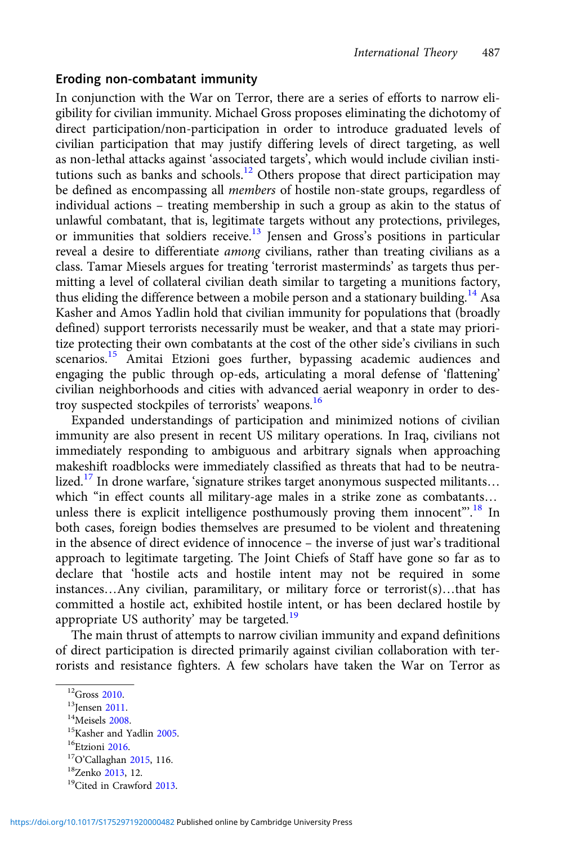#### Eroding non-combatant immunity

In conjunction with the War on Terror, there are a series of efforts to narrow eligibility for civilian immunity. Michael Gross proposes eliminating the dichotomy of direct participation/non-participation in order to introduce graduated levels of civilian participation that may justify differing levels of direct targeting, as well as non-lethal attacks against 'associated targets', which would include civilian institutions such as banks and schools.<sup>12</sup> Others propose that direct participation may be defined as encompassing all members of hostile non-state groups, regardless of individual actions – treating membership in such a group as akin to the status of unlawful combatant, that is, legitimate targets without any protections, privileges, or immunities that soldiers receive.<sup>13</sup> Jensen and Gross's positions in particular reveal a desire to differentiate *among* civilians, rather than treating civilians as a class. Tamar Miesels argues for treating 'terrorist masterminds' as targets thus permitting a level of collateral civilian death similar to targeting a munitions factory, thus eliding the difference between a mobile person and a stationary building.<sup>14</sup> Asa Kasher and Amos Yadlin hold that civilian immunity for populations that (broadly defined) support terrorists necessarily must be weaker, and that a state may prioritize protecting their own combatants at the cost of the other side's civilians in such scenarios.<sup>15</sup> Amitai Etzioni goes further, bypassing academic audiences and engaging the public through op-eds, articulating a moral defense of 'flattening' civilian neighborhoods and cities with advanced aerial weaponry in order to destroy suspected stockpiles of terrorists' weapons.<sup>16</sup>

Expanded understandings of participation and minimized notions of civilian immunity are also present in recent US military operations. In Iraq, civilians not immediately responding to ambiguous and arbitrary signals when approaching makeshift roadblocks were immediately classified as threats that had to be neutralized.<sup>17</sup> In drone warfare, 'signature strikes target anonymous suspected militants... which "in effect counts all military-age males in a strike zone as combatants… unless there is explicit intelligence posthumously proving them innocent".<sup>18</sup> In both cases, foreign bodies themselves are presumed to be violent and threatening in the absence of direct evidence of innocence – the inverse of just war's traditional approach to legitimate targeting. The Joint Chiefs of Staff have gone so far as to declare that 'hostile acts and hostile intent may not be required in some instances…Any civilian, paramilitary, or military force or terrorist(s)…that has committed a hostile act, exhibited hostile intent, or has been declared hostile by appropriate US authority' may be targeted. $19$ 

The main thrust of attempts to narrow civilian immunity and expand definitions of direct participation is directed primarily against civilian collaboration with terrorists and resistance fighters. A few scholars have taken the War on Terror as

<sup>&</sup>lt;sup>12</sup>Gross [2010](#page-21-0).<br><sup>14</sup>Meisels [2008.](#page-21-0)<br><sup>15</sup>Kasher and Yadlin [2005](#page-21-0).<br><sup>16</sup>Etzioni [2016.](#page-21-0)<br><sup>17</sup>O'Callaghan [2015,](#page-21-0) 116. <sup>18</sup>Zenko [2013](#page-20-0), 12.<br><sup>19</sup>Cited in Crawford 2013.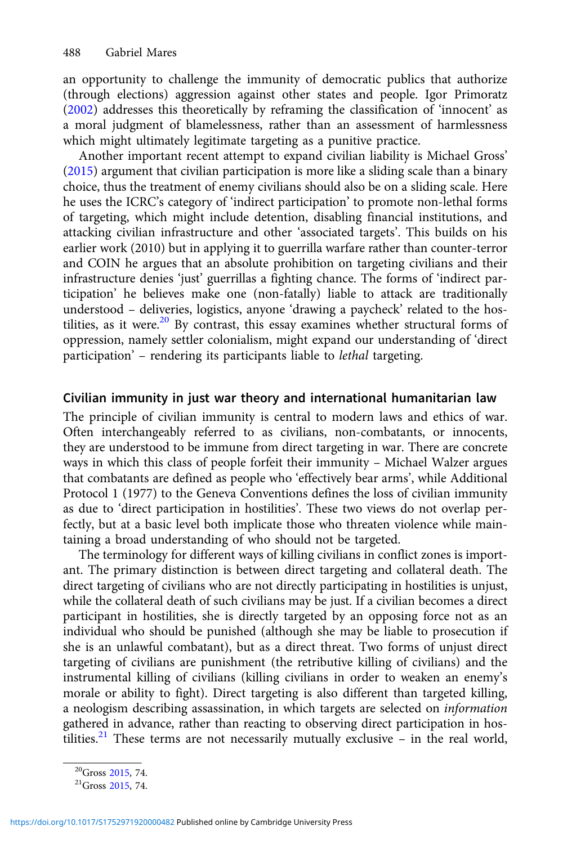an opportunity to challenge the immunity of democratic publics that authorize (through elections) aggression against other states and people. Igor Primoratz ([2002](#page-21-0)) addresses this theoretically by reframing the classification of 'innocent' as a moral judgment of blamelessness, rather than an assessment of harmlessness which might ultimately legitimate targeting as a punitive practice.

Another important recent attempt to expand civilian liability is Michael Gross' ([2015](#page-21-0)) argument that civilian participation is more like a sliding scale than a binary choice, thus the treatment of enemy civilians should also be on a sliding scale. Here he uses the ICRC's category of 'indirect participation' to promote non-lethal forms of targeting, which might include detention, disabling financial institutions, and attacking civilian infrastructure and other 'associated targets'. This builds on his earlier work (2010) but in applying it to guerrilla warfare rather than counter-terror and COIN he argues that an absolute prohibition on targeting civilians and their infrastructure denies 'just' guerrillas a fighting chance. The forms of 'indirect participation' he believes make one (non-fatally) liable to attack are traditionally understood – deliveries, logistics, anyone 'drawing a paycheck' related to the hostilities, as it were.<sup>20</sup> By contrast, this essay examines whether structural forms of oppression, namely settler colonialism, might expand our understanding of 'direct participation' – rendering its participants liable to lethal targeting.

#### Civilian immunity in just war theory and international humanitarian law

The principle of civilian immunity is central to modern laws and ethics of war. Often interchangeably referred to as civilians, non-combatants, or innocents, they are understood to be immune from direct targeting in war. There are concrete ways in which this class of people forfeit their immunity – Michael Walzer argues that combatants are defined as people who 'effectively bear arms', while Additional Protocol 1 (1977) to the Geneva Conventions defines the loss of civilian immunity as due to 'direct participation in hostilities'. These two views do not overlap perfectly, but at a basic level both implicate those who threaten violence while maintaining a broad understanding of who should not be targeted.

The terminology for different ways of killing civilians in conflict zones is important. The primary distinction is between direct targeting and collateral death. The direct targeting of civilians who are not directly participating in hostilities is unjust, while the collateral death of such civilians may be just. If a civilian becomes a direct participant in hostilities, she is directly targeted by an opposing force not as an individual who should be punished (although she may be liable to prosecution if she is an unlawful combatant), but as a direct threat. Two forms of unjust direct targeting of civilians are punishment (the retributive killing of civilians) and the instrumental killing of civilians (killing civilians in order to weaken an enemy's morale or ability to fight). Direct targeting is also different than targeted killing, a neologism describing assassination, in which targets are selected on information gathered in advance, rather than reacting to observing direct participation in hostilities.<sup>21</sup> These terms are not necessarily mutually exclusive – in the real world,

 $^{20}$ Gross [2015](#page-21-0), 74.<br> $^{21}$ Gross 2015, 74.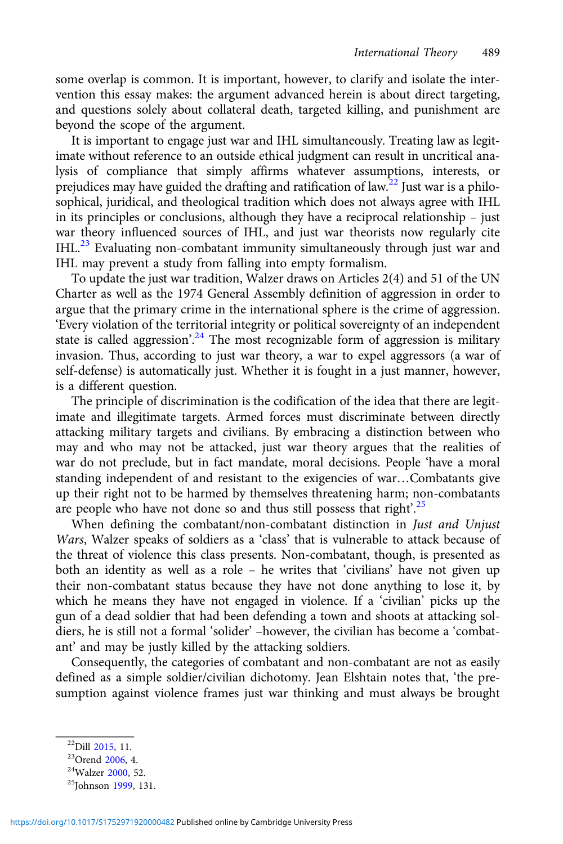some overlap is common. It is important, however, to clarify and isolate the intervention this essay makes: the argument advanced herein is about direct targeting, and questions solely about collateral death, targeted killing, and punishment are beyond the scope of the argument.

It is important to engage just war and IHL simultaneously. Treating law as legitimate without reference to an outside ethical judgment can result in uncritical analysis of compliance that simply affirms whatever assumptions, interests, or prejudices may have guided the drafting and ratification of law.<sup>22</sup> Just war is a philosophical, juridical, and theological tradition which does not always agree with IHL in its principles or conclusions, although they have a reciprocal relationship – just war theory influenced sources of IHL, and just war theorists now regularly cite IHL.<sup>23</sup> Evaluating non-combatant immunity simultaneously through just war and IHL may prevent a study from falling into empty formalism.

To update the just war tradition, Walzer draws on Articles 2(4) and 51 of the UN Charter as well as the 1974 General Assembly definition of aggression in order to argue that the primary crime in the international sphere is the crime of aggression. 'Every violation of the territorial integrity or political sovereignty of an independent state is called aggression'.<sup>24</sup> The most recognizable form of aggression is military invasion. Thus, according to just war theory, a war to expel aggressors (a war of self-defense) is automatically just. Whether it is fought in a just manner, however, is a different question.

The principle of discrimination is the codification of the idea that there are legitimate and illegitimate targets. Armed forces must discriminate between directly attacking military targets and civilians. By embracing a distinction between who may and who may not be attacked, just war theory argues that the realities of war do not preclude, but in fact mandate, moral decisions. People 'have a moral standing independent of and resistant to the exigencies of war…Combatants give up their right not to be harmed by themselves threatening harm; non-combatants are people who have not done so and thus still possess that right'.<sup>25</sup>

When defining the combatant/non-combatant distinction in Just and Unjust Wars, Walzer speaks of soldiers as a 'class' that is vulnerable to attack because of the threat of violence this class presents. Non-combatant, though, is presented as both an identity as well as a role – he writes that 'civilians' have not given up their non-combatant status because they have not done anything to lose it, by which he means they have not engaged in violence. If a 'civilian' picks up the gun of a dead soldier that had been defending a town and shoots at attacking soldiers, he is still not a formal 'solider' –however, the civilian has become a 'combatant' and may be justly killed by the attacking soldiers.

Consequently, the categories of combatant and non-combatant are not as easily defined as a simple soldier/civilian dichotomy. Jean Elshtain notes that, 'the presumption against violence frames just war thinking and must always be brought

<sup>&</sup>lt;sup>22</sup>Dill [2015](#page-20-0), 11.<br><sup>23</sup>Orend [2006,](#page-21-0) 4.<br><sup>24</sup>Walzer [2000,](#page-22-0) 52.<br><sup>25</sup>Johnson [1999,](#page-21-0) 131.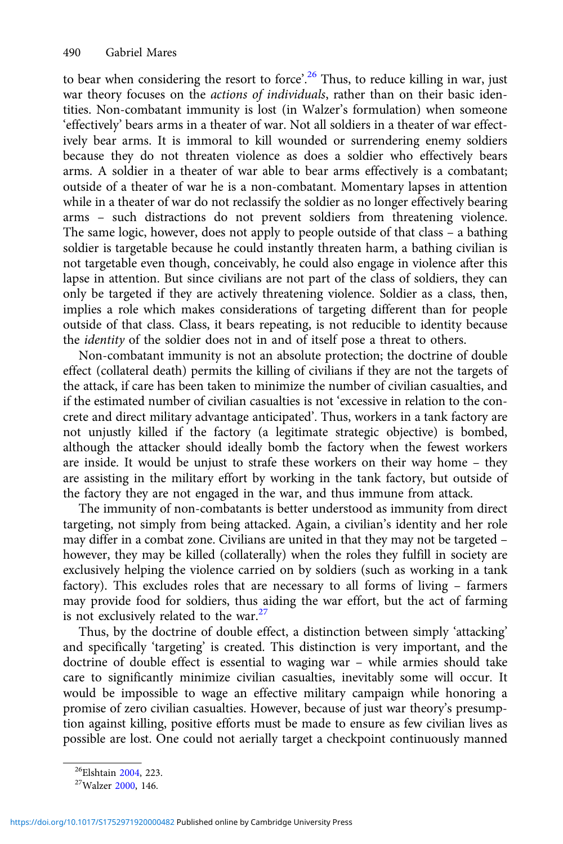to bear when considering the resort to force'.<sup>26</sup> Thus, to reduce killing in war, just war theory focuses on the *actions of individuals*, rather than on their basic identities. Non-combatant immunity is lost (in Walzer's formulation) when someone 'effectively' bears arms in a theater of war. Not all soldiers in a theater of war effectively bear arms. It is immoral to kill wounded or surrendering enemy soldiers because they do not threaten violence as does a soldier who effectively bears arms. A soldier in a theater of war able to bear arms effectively is a combatant; outside of a theater of war he is a non-combatant. Momentary lapses in attention while in a theater of war do not reclassify the soldier as no longer effectively bearing arms – such distractions do not prevent soldiers from threatening violence. The same logic, however, does not apply to people outside of that class – a bathing soldier is targetable because he could instantly threaten harm, a bathing civilian is not targetable even though, conceivably, he could also engage in violence after this lapse in attention. But since civilians are not part of the class of soldiers, they can only be targeted if they are actively threatening violence. Soldier as a class, then, implies a role which makes considerations of targeting different than for people outside of that class. Class, it bears repeating, is not reducible to identity because the identity of the soldier does not in and of itself pose a threat to others.

Non-combatant immunity is not an absolute protection; the doctrine of double effect (collateral death) permits the killing of civilians if they are not the targets of the attack, if care has been taken to minimize the number of civilian casualties, and if the estimated number of civilian casualties is not 'excessive in relation to the concrete and direct military advantage anticipated'. Thus, workers in a tank factory are not unjustly killed if the factory (a legitimate strategic objective) is bombed, although the attacker should ideally bomb the factory when the fewest workers are inside. It would be unjust to strafe these workers on their way home – they are assisting in the military effort by working in the tank factory, but outside of the factory they are not engaged in the war, and thus immune from attack.

The immunity of non-combatants is better understood as immunity from direct targeting, not simply from being attacked. Again, a civilian's identity and her role may differ in a combat zone. Civilians are united in that they may not be targeted – however, they may be killed (collaterally) when the roles they fulfill in society are exclusively helping the violence carried on by soldiers (such as working in a tank factory). This excludes roles that are necessary to all forms of living – farmers may provide food for soldiers, thus aiding the war effort, but the act of farming is not exclusively related to the war. $27$ 

Thus, by the doctrine of double effect, a distinction between simply 'attacking' and specifically 'targeting' is created. This distinction is very important, and the doctrine of double effect is essential to waging war – while armies should take care to significantly minimize civilian casualties, inevitably some will occur. It would be impossible to wage an effective military campaign while honoring a promise of zero civilian casualties. However, because of just war theory's presumption against killing, positive efforts must be made to ensure as few civilian lives as possible are lost. One could not aerially target a checkpoint continuously manned

<sup>&</sup>lt;sup>26</sup>Elshtain [2004,](#page-20-0) 223.<br><sup>27</sup>Walzer [2000](#page-22-0), 146.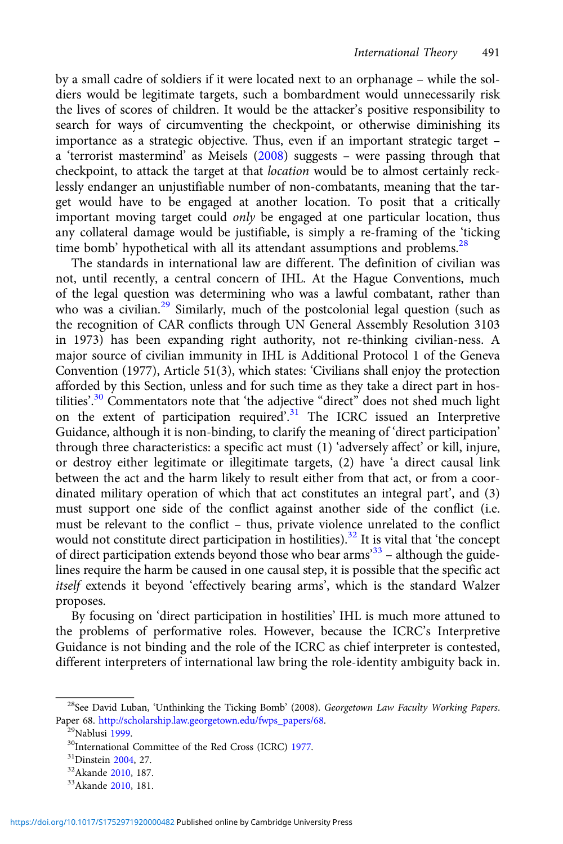by a small cadre of soldiers if it were located next to an orphanage – while the soldiers would be legitimate targets, such a bombardment would unnecessarily risk the lives of scores of children. It would be the attacker's positive responsibility to search for ways of circumventing the checkpoint, or otherwise diminishing its importance as a strategic objective. Thus, even if an important strategic target – a 'terrorist mastermind' as Meisels [\(2008](#page-21-0)) suggests – were passing through that checkpoint, to attack the target at that location would be to almost certainly recklessly endanger an unjustifiable number of non-combatants, meaning that the target would have to be engaged at another location. To posit that a critically important moving target could only be engaged at one particular location, thus any collateral damage would be justifiable, is simply a re-framing of the 'ticking time bomb' hypothetical with all its attendant assumptions and problems.<sup>28</sup>

The standards in international law are different. The definition of civilian was not, until recently, a central concern of IHL. At the Hague Conventions, much of the legal question was determining who was a lawful combatant, rather than who was a civilian.<sup>29</sup> Similarly, much of the postcolonial legal question (such as the recognition of CAR conflicts through UN General Assembly Resolution 3103 in 1973) has been expanding right authority, not re-thinking civilian-ness. A major source of civilian immunity in IHL is Additional Protocol 1 of the Geneva Convention (1977), Article 51(3), which states: 'Civilians shall enjoy the protection afforded by this Section, unless and for such time as they take a direct part in hostilities'.<sup>30</sup> Commentators note that 'the adjective "direct" does not shed much light on the extent of participation required'.<sup>31</sup> The ICRC issued an Interpretive Guidance, although it is non-binding, to clarify the meaning of 'direct participation' through three characteristics: a specific act must (1) 'adversely affect' or kill, injure, or destroy either legitimate or illegitimate targets, (2) have 'a direct causal link between the act and the harm likely to result either from that act, or from a coordinated military operation of which that act constitutes an integral part', and (3) must support one side of the conflict against another side of the conflict (i.e. must be relevant to the conflict – thus, private violence unrelated to the conflict would not constitute direct participation in hostilities).<sup>32</sup> It is vital that 'the concept of direct participation extends beyond those who bear arms<sup>33</sup> - although the guidelines require the harm be caused in one causal step, it is possible that the specific act itself extends it beyond 'effectively bearing arms', which is the standard Walzer proposes.

By focusing on 'direct participation in hostilities' IHL is much more attuned to the problems of performative roles. However, because the ICRC's Interpretive Guidance is not binding and the role of the ICRC as chief interpreter is contested, different interpreters of international law bring the role-identity ambiguity back in.

<sup>&</sup>lt;sup>28</sup>See David Luban, 'Unthinking the Ticking Bomb' (2008). Georgetown Law Faculty Working Papers.<br>Paper 68. http://scholarship.law.georgetown.edu/fwps\_papers/68.

<sup>&</sup>lt;sup>29</sup>Nablusi [1999.](#page-21-0)<br><sup>30</sup>International Committee of the Red Cross (ICRC) [1977](#page-21-0).<br><sup>31</sup>Dinstein [2004](#page-20-0), 27.<br><sup>32</sup>Akande [2010,](#page-20-0) 187. <sup>33</sup>Akande 2010, 181.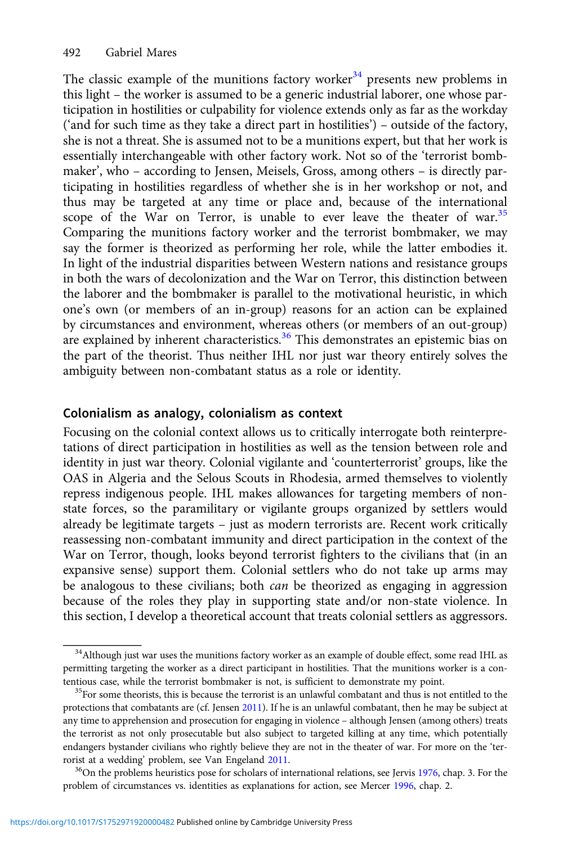The classic example of the munitions factory worker<sup>34</sup> presents new problems in this light – the worker is assumed to be a generic industrial laborer, one whose participation in hostilities or culpability for violence extends only as far as the workday ('and for such time as they take a direct part in hostilities') – outside of the factory, she is not a threat. She is assumed not to be a munitions expert, but that her work is essentially interchangeable with other factory work. Not so of the 'terrorist bombmaker', who – according to Jensen, Meisels, Gross, among others – is directly participating in hostilities regardless of whether she is in her workshop or not, and thus may be targeted at any time or place and, because of the international scope of the War on Terror, is unable to ever leave the theater of war.<sup>35</sup> Comparing the munitions factory worker and the terrorist bombmaker, we may say the former is theorized as performing her role, while the latter embodies it. In light of the industrial disparities between Western nations and resistance groups in both the wars of decolonization and the War on Terror, this distinction between the laborer and the bombmaker is parallel to the motivational heuristic, in which one's own (or members of an in-group) reasons for an action can be explained by circumstances and environment, whereas others (or members of an out-group) are explained by inherent characteristics.<sup>36</sup> This demonstrates an epistemic bias on the part of the theorist. Thus neither IHL nor just war theory entirely solves the ambiguity between non-combatant status as a role or identity.

# Colonialism as analogy, colonialism as context

Focusing on the colonial context allows us to critically interrogate both reinterpretations of direct participation in hostilities as well as the tension between role and identity in just war theory. Colonial vigilante and 'counterterrorist' groups, like the OAS in Algeria and the Selous Scouts in Rhodesia, armed themselves to violently repress indigenous people. IHL makes allowances for targeting members of nonstate forces, so the paramilitary or vigilante groups organized by settlers would already be legitimate targets – just as modern terrorists are. Recent work critically reassessing non-combatant immunity and direct participation in the context of the War on Terror, though, looks beyond terrorist fighters to the civilians that (in an expansive sense) support them. Colonial settlers who do not take up arms may be analogous to these civilians; both *can* be theorized as engaging in aggression because of the roles they play in supporting state and/or non-state violence. In this section, I develop a theoretical account that treats colonial settlers as aggressors.

<sup>&</sup>lt;sup>34</sup>Although just war uses the munitions factory worker as an example of double effect, some read IHL as permitting targeting the worker as a direct participant in hostilities. That the munitions worker is a contentious case, while the terrorist bombmaker is not, is sufficient to demonstrate my point.<br><sup>35</sup>For some theorists, this is because the terrorist is an unlawful combatant and thus is not entitled to the

protections that combatants are (cf. Jensen [2011\)](#page-21-0). If he is an unlawful combatant, then he may be subject at any time to apprehension and prosecution for engaging in violence – although Jensen (among others) treats the terrorist as not only prosecutable but also subject to targeted killing at any time, which potentially endangers bystander civilians who rightly believe they are not in the theater of war. For more on the 'ter-rorist at a wedding' problem, see Van Engeland [2011](#page-22-0).<br><sup>36</sup>On the problems heuristics pose for scholars of international relations, see Jervis [1976](#page-21-0), chap. 3. For the

problem of circumstances vs. identities as explanations for action, see Mercer [1996,](#page-21-0) chap. 2.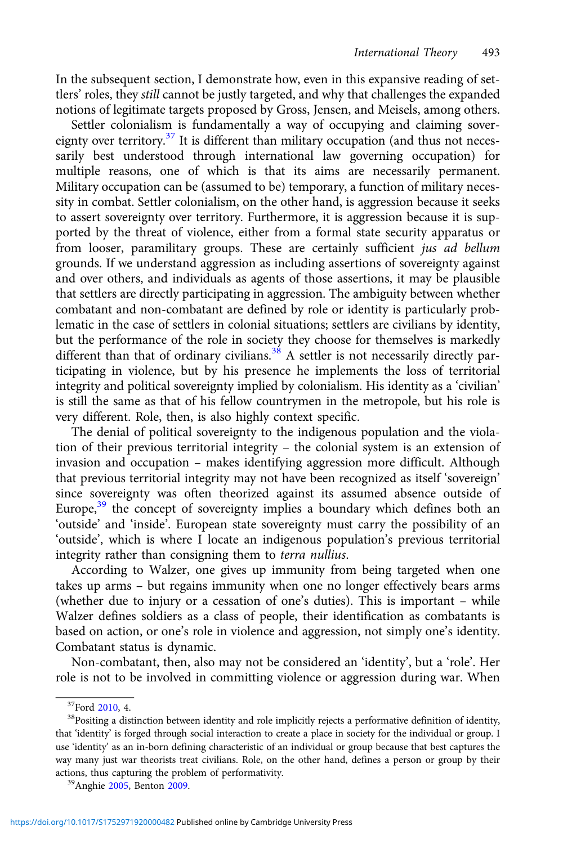In the subsequent section, I demonstrate how, even in this expansive reading of settlers' roles, they still cannot be justly targeted, and why that challenges the expanded notions of legitimate targets proposed by Gross, Jensen, and Meisels, among others.

Settler colonialism is fundamentally a way of occupying and claiming sovereignty over territory.<sup>37</sup> It is different than military occupation (and thus not necessarily best understood through international law governing occupation) for multiple reasons, one of which is that its aims are necessarily permanent. Military occupation can be (assumed to be) temporary, a function of military necessity in combat. Settler colonialism, on the other hand, is aggression because it seeks to assert sovereignty over territory. Furthermore, it is aggression because it is supported by the threat of violence, either from a formal state security apparatus or from looser, paramilitary groups. These are certainly sufficient jus ad bellum grounds. If we understand aggression as including assertions of sovereignty against and over others, and individuals as agents of those assertions, it may be plausible that settlers are directly participating in aggression. The ambiguity between whether combatant and non-combatant are defined by role or identity is particularly problematic in the case of settlers in colonial situations; settlers are civilians by identity, but the performance of the role in society they choose for themselves is markedly different than that of ordinary civilians.<sup>38</sup> A settler is not necessarily directly participating in violence, but by his presence he implements the loss of territorial integrity and political sovereignty implied by colonialism. His identity as a 'civilian' is still the same as that of his fellow countrymen in the metropole, but his role is very different. Role, then, is also highly context specific.

The denial of political sovereignty to the indigenous population and the violation of their previous territorial integrity – the colonial system is an extension of invasion and occupation – makes identifying aggression more difficult. Although that previous territorial integrity may not have been recognized as itself 'sovereign' since sovereignty was often theorized against its assumed absence outside of Europe,<sup>39</sup> the concept of sovereignty implies a boundary which defines both an 'outside' and 'inside'. European state sovereignty must carry the possibility of an 'outside', which is where I locate an indigenous population's previous territorial integrity rather than consigning them to terra nullius.

According to Walzer, one gives up immunity from being targeted when one takes up arms – but regains immunity when one no longer effectively bears arms (whether due to injury or a cessation of one's duties). This is important – while Walzer defines soldiers as a class of people, their identification as combatants is based on action, or one's role in violence and aggression, not simply one's identity. Combatant status is dynamic.

Non-combatant, then, also may not be considered an 'identity', but a 'role'. Her role is not to be involved in committing violence or aggression during war. When

<sup>&</sup>lt;sup>37</sup>Ford [2010](#page-21-0), 4.<br><sup>38</sup>Positing a distinction between identity and role implicitly rejects a performative definition of identity, that 'identity' is forged through social interaction to create a place in society for the individual or group. I use 'identity' as an in-born defining characteristic of an individual or group because that best captures the way many just war theorists treat civilians. Role, on the other hand, defines a person or group by their actions, thus capturing the problem of performativity. 39Anghie [2005](#page-20-0), Benton [2009.](#page-20-0)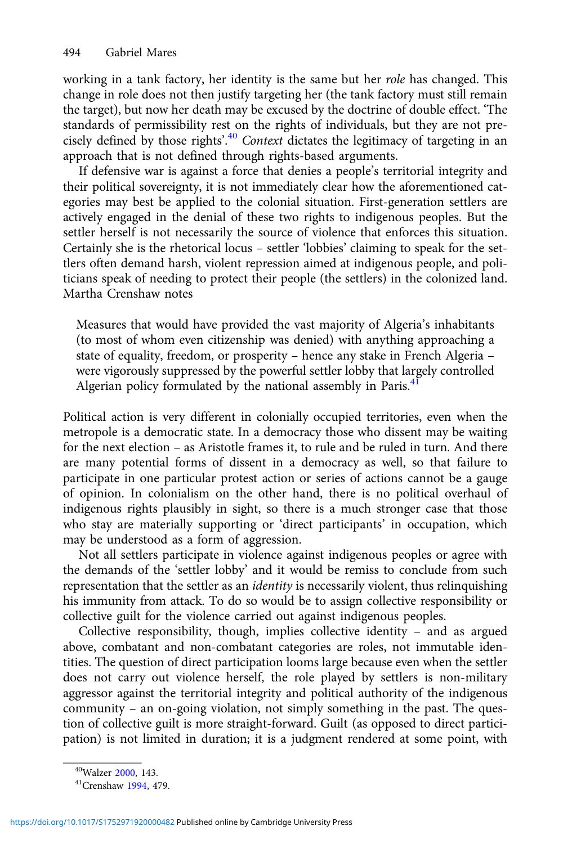working in a tank factory, her identity is the same but her *role* has changed. This change in role does not then justify targeting her (the tank factory must still remain the target), but now her death may be excused by the doctrine of double effect. 'The standards of permissibility rest on the rights of individuals, but they are not precisely defined by those rights'.<sup>40</sup> Context dictates the legitimacy of targeting in an approach that is not defined through rights-based arguments.

If defensive war is against a force that denies a people's territorial integrity and their political sovereignty, it is not immediately clear how the aforementioned categories may best be applied to the colonial situation. First-generation settlers are actively engaged in the denial of these two rights to indigenous peoples. But the settler herself is not necessarily the source of violence that enforces this situation. Certainly she is the rhetorical locus – settler 'lobbies' claiming to speak for the settlers often demand harsh, violent repression aimed at indigenous people, and politicians speak of needing to protect their people (the settlers) in the colonized land. Martha Crenshaw notes

Measures that would have provided the vast majority of Algeria's inhabitants (to most of whom even citizenship was denied) with anything approaching a state of equality, freedom, or prosperity – hence any stake in French Algeria – were vigorously suppressed by the powerful settler lobby that largely controlled Algerian policy formulated by the national assembly in Paris. $41$ 

Political action is very different in colonially occupied territories, even when the metropole is a democratic state. In a democracy those who dissent may be waiting for the next election – as Aristotle frames it, to rule and be ruled in turn. And there are many potential forms of dissent in a democracy as well, so that failure to participate in one particular protest action or series of actions cannot be a gauge of opinion. In colonialism on the other hand, there is no political overhaul of indigenous rights plausibly in sight, so there is a much stronger case that those who stay are materially supporting or 'direct participants' in occupation, which may be understood as a form of aggression.

Not all settlers participate in violence against indigenous peoples or agree with the demands of the 'settler lobby' and it would be remiss to conclude from such representation that the settler as an identity is necessarily violent, thus relinquishing his immunity from attack. To do so would be to assign collective responsibility or collective guilt for the violence carried out against indigenous peoples.

Collective responsibility, though, implies collective identity – and as argued above, combatant and non-combatant categories are roles, not immutable identities. The question of direct participation looms large because even when the settler does not carry out violence herself, the role played by settlers is non-military aggressor against the territorial integrity and political authority of the indigenous community – an on-going violation, not simply something in the past. The question of collective guilt is more straight-forward. Guilt (as opposed to direct participation) is not limited in duration; it is a judgment rendered at some point, with

 $^{40}$ Walzer [2000](#page-22-0), 143.<br> $^{41}$ Crenshaw [1994](#page-20-0), 479.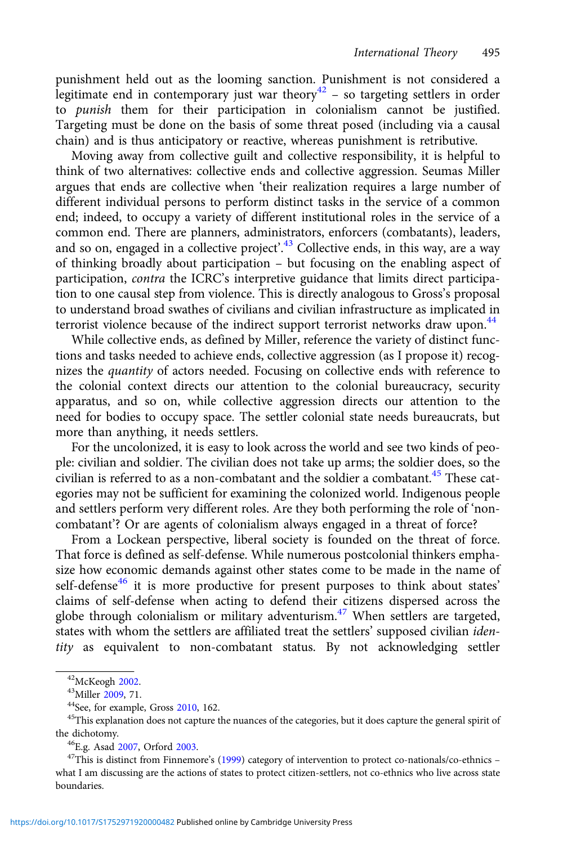punishment held out as the looming sanction. Punishment is not considered a legitimate end in contemporary just war theory $42$  – so targeting settlers in order to punish them for their participation in colonialism cannot be justified. Targeting must be done on the basis of some threat posed (including via a causal chain) and is thus anticipatory or reactive, whereas punishment is retributive.

Moving away from collective guilt and collective responsibility, it is helpful to think of two alternatives: collective ends and collective aggression. Seumas Miller argues that ends are collective when 'their realization requires a large number of different individual persons to perform distinct tasks in the service of a common end; indeed, to occupy a variety of different institutional roles in the service of a common end. There are planners, administrators, enforcers (combatants), leaders, and so on, engaged in a collective project'.<sup>43</sup> Collective ends, in this way, are a way of thinking broadly about participation – but focusing on the enabling aspect of participation, contra the ICRC's interpretive guidance that limits direct participation to one causal step from violence. This is directly analogous to Gross's proposal to understand broad swathes of civilians and civilian infrastructure as implicated in terrorist violence because of the indirect support terrorist networks draw upon.<sup>44</sup>

While collective ends, as defined by Miller, reference the variety of distinct functions and tasks needed to achieve ends, collective aggression (as I propose it) recognizes the quantity of actors needed. Focusing on collective ends with reference to the colonial context directs our attention to the colonial bureaucracy, security apparatus, and so on, while collective aggression directs our attention to the need for bodies to occupy space. The settler colonial state needs bureaucrats, but more than anything, it needs settlers.

For the uncolonized, it is easy to look across the world and see two kinds of people: civilian and soldier. The civilian does not take up arms; the soldier does, so the civilian is referred to as a non-combatant and the soldier a combatant.<sup>45</sup> These categories may not be sufficient for examining the colonized world. Indigenous people and settlers perform very different roles. Are they both performing the role of 'noncombatant'? Or are agents of colonialism always engaged in a threat of force?

From a Lockean perspective, liberal society is founded on the threat of force. That force is defined as self-defense. While numerous postcolonial thinkers emphasize how economic demands against other states come to be made in the name of self-defense<sup>46</sup> it is more productive for present purposes to think about states' claims of self-defense when acting to defend their citizens dispersed across the globe through colonialism or military adventurism. $47$  When settlers are targeted, states with whom the settlers are affiliated treat the settlers' supposed civilian *iden*tity as equivalent to non-combatant status. By not acknowledging settler

<sup>&</sup>lt;sup>42</sup>McKeogh [2002](#page-21-0).<br><sup>43</sup>Miller [2009,](#page-21-0) 71.<br><sup>44</sup>See, for example, Gross [2010,](#page-21-0) 162.<br><sup>45</sup>This explanation does not capture the nuances of the categories, but it does capture the general spirit of the dichotomy.<br><sup>46</sup>E.g. Asad [2007,](#page-20-0) Orford [2003](#page-21-0).<br><sup>47</sup>This is distinct from Finnemore's [\(1999\)](#page-21-0) category of intervention to protect co-nationals/co-ethnics –

what I am discussing are the actions of states to protect citizen-settlers, not co-ethnics who live across state boundaries.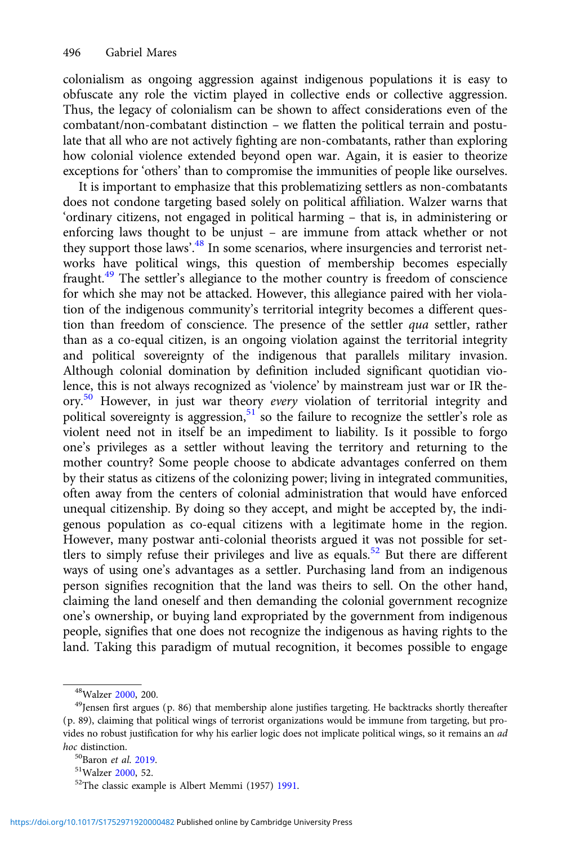colonialism as ongoing aggression against indigenous populations it is easy to obfuscate any role the victim played in collective ends or collective aggression. Thus, the legacy of colonialism can be shown to affect considerations even of the combatant/non-combatant distinction – we flatten the political terrain and postulate that all who are not actively fighting are non-combatants, rather than exploring how colonial violence extended beyond open war. Again, it is easier to theorize exceptions for 'others' than to compromise the immunities of people like ourselves.

It is important to emphasize that this problematizing settlers as non-combatants does not condone targeting based solely on political affiliation. Walzer warns that 'ordinary citizens, not engaged in political harming – that is, in administering or enforcing laws thought to be unjust – are immune from attack whether or not they support those laws'.<sup>48</sup> In some scenarios, where insurgencies and terrorist networks have political wings, this question of membership becomes especially fraught.<sup>49</sup> The settler's allegiance to the mother country is freedom of conscience for which she may not be attacked. However, this allegiance paired with her violation of the indigenous community's territorial integrity becomes a different question than freedom of conscience. The presence of the settler qua settler, rather than as a co-equal citizen, is an ongoing violation against the territorial integrity and political sovereignty of the indigenous that parallels military invasion. Although colonial domination by definition included significant quotidian violence, this is not always recognized as 'violence' by mainstream just war or IR theory.<sup>50</sup> However, in just war theory every violation of territorial integrity and political sovereignty is aggression,  $51$  so the failure to recognize the settler's role as violent need not in itself be an impediment to liability. Is it possible to forgo one's privileges as a settler without leaving the territory and returning to the mother country? Some people choose to abdicate advantages conferred on them by their status as citizens of the colonizing power; living in integrated communities, often away from the centers of colonial administration that would have enforced unequal citizenship. By doing so they accept, and might be accepted by, the indigenous population as co-equal citizens with a legitimate home in the region. However, many postwar anti-colonial theorists argued it was not possible for settlers to simply refuse their privileges and live as equals.<sup>52</sup> But there are different ways of using one's advantages as a settler. Purchasing land from an indigenous person signifies recognition that the land was theirs to sell. On the other hand, claiming the land oneself and then demanding the colonial government recognize one's ownership, or buying land expropriated by the government from indigenous people, signifies that one does not recognize the indigenous as having rights to the land. Taking this paradigm of mutual recognition, it becomes possible to engage

<sup>&</sup>lt;sup>48</sup>Walzer [2000](#page-22-0), 200.<br><sup>49</sup>Jensen first argues (p. 86) that membership alone justifies targeting. He backtracks shortly thereafter (p. 89), claiming that political wings of terrorist organizations would be immune from targeting, but provides no robust justification for why his earlier logic does not implicate political wings, so it remains an ad hoc distinction.<br><sup>50</sup>Baron *et al.* 2019.

 $51$ Walzer [2000](#page-22-0), 52.<br> $52$ The classic example is Albert Memmi (1957) [1991](#page-21-0).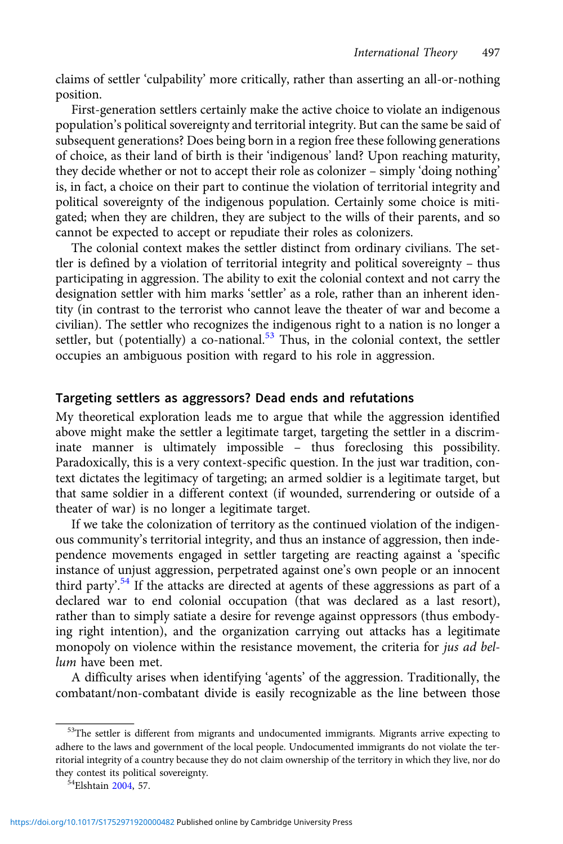claims of settler 'culpability' more critically, rather than asserting an all-or-nothing position.

First-generation settlers certainly make the active choice to violate an indigenous population's political sovereignty and territorial integrity. But can the same be said of subsequent generations? Does being born in a region free these following generations of choice, as their land of birth is their 'indigenous' land? Upon reaching maturity, they decide whether or not to accept their role as colonizer – simply 'doing nothing' is, in fact, a choice on their part to continue the violation of territorial integrity and political sovereignty of the indigenous population. Certainly some choice is mitigated; when they are children, they are subject to the wills of their parents, and so cannot be expected to accept or repudiate their roles as colonizers.

The colonial context makes the settler distinct from ordinary civilians. The settler is defined by a violation of territorial integrity and political sovereignty – thus participating in aggression. The ability to exit the colonial context and not carry the designation settler with him marks 'settler' as a role, rather than an inherent identity (in contrast to the terrorist who cannot leave the theater of war and become a civilian). The settler who recognizes the indigenous right to a nation is no longer a settler, but (potentially) a co-national.<sup>53</sup> Thus, in the colonial context, the settler occupies an ambiguous position with regard to his role in aggression.

# Targeting settlers as aggressors? Dead ends and refutations

My theoretical exploration leads me to argue that while the aggression identified above might make the settler a legitimate target, targeting the settler in a discriminate manner is ultimately impossible – thus foreclosing this possibility. Paradoxically, this is a very context-specific question. In the just war tradition, context dictates the legitimacy of targeting; an armed soldier is a legitimate target, but that same soldier in a different context (if wounded, surrendering or outside of a theater of war) is no longer a legitimate target.

If we take the colonization of territory as the continued violation of the indigenous community's territorial integrity, and thus an instance of aggression, then independence movements engaged in settler targeting are reacting against a 'specific instance of unjust aggression, perpetrated against one's own people or an innocent third party'.<sup>54</sup> If the attacks are directed at agents of these aggressions as part of a declared war to end colonial occupation (that was declared as a last resort), rather than to simply satiate a desire for revenge against oppressors (thus embodying right intention), and the organization carrying out attacks has a legitimate monopoly on violence within the resistance movement, the criteria for jus ad bellum have been met.

A difficulty arises when identifying 'agents' of the aggression. Traditionally, the combatant/non-combatant divide is easily recognizable as the line between those

<sup>&</sup>lt;sup>53</sup>The settler is different from migrants and undocumented immigrants. Migrants arrive expecting to adhere to the laws and government of the local people. Undocumented immigrants do not violate the territorial integrity of a country because they do not claim ownership of the territory in which they live, nor do they contest its political sovereignty.<br><sup>54</sup>Elshtain [2004](#page-20-0), 57.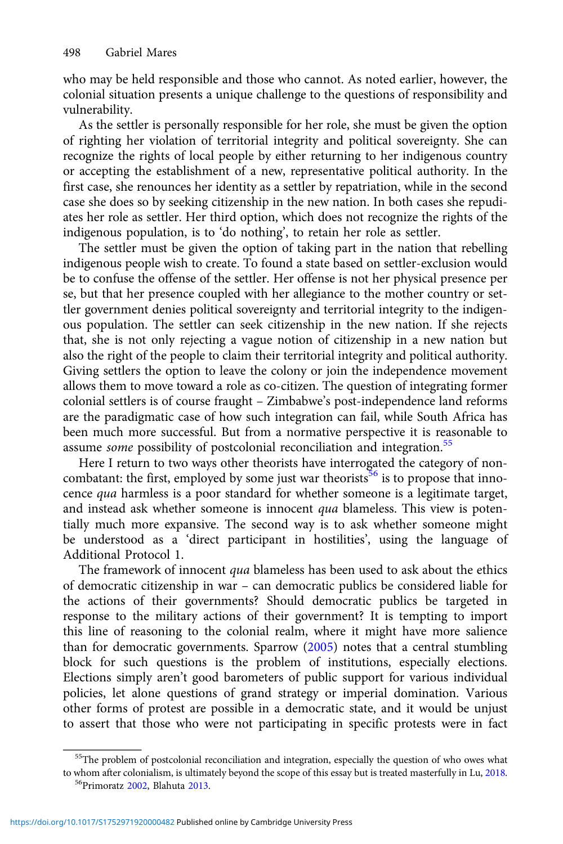who may be held responsible and those who cannot. As noted earlier, however, the colonial situation presents a unique challenge to the questions of responsibility and vulnerability.

As the settler is personally responsible for her role, she must be given the option of righting her violation of territorial integrity and political sovereignty. She can recognize the rights of local people by either returning to her indigenous country or accepting the establishment of a new, representative political authority. In the first case, she renounces her identity as a settler by repatriation, while in the second case she does so by seeking citizenship in the new nation. In both cases she repudiates her role as settler. Her third option, which does not recognize the rights of the indigenous population, is to 'do nothing', to retain her role as settler.

The settler must be given the option of taking part in the nation that rebelling indigenous people wish to create. To found a state based on settler-exclusion would be to confuse the offense of the settler. Her offense is not her physical presence per se, but that her presence coupled with her allegiance to the mother country or settler government denies political sovereignty and territorial integrity to the indigenous population. The settler can seek citizenship in the new nation. If she rejects that, she is not only rejecting a vague notion of citizenship in a new nation but also the right of the people to claim their territorial integrity and political authority. Giving settlers the option to leave the colony or join the independence movement allows them to move toward a role as co-citizen. The question of integrating former colonial settlers is of course fraught – Zimbabwe's post-independence land reforms are the paradigmatic case of how such integration can fail, while South Africa has been much more successful. But from a normative perspective it is reasonable to assume *some* possibility of postcolonial reconciliation and integration.<sup>55</sup>

Here I return to two ways other theorists have interrogated the category of noncombatant: the first, employed by some just war theorists<sup>56</sup> is to propose that innocence qua harmless is a poor standard for whether someone is a legitimate target, and instead ask whether someone is innocent qua blameless. This view is potentially much more expansive. The second way is to ask whether someone might be understood as a 'direct participant in hostilities', using the language of Additional Protocol 1.

The framework of innocent qua blameless has been used to ask about the ethics of democratic citizenship in war – can democratic publics be considered liable for the actions of their governments? Should democratic publics be targeted in response to the military actions of their government? It is tempting to import this line of reasoning to the colonial realm, where it might have more salience than for democratic governments. Sparrow [\(2005](#page-21-0)) notes that a central stumbling block for such questions is the problem of institutions, especially elections. Elections simply aren't good barometers of public support for various individual policies, let alone questions of grand strategy or imperial domination. Various other forms of protest are possible in a democratic state, and it would be unjust to assert that those who were not participating in specific protests were in fact

<sup>&</sup>lt;sup>55</sup>The problem of postcolonial reconciliation and integration, especially the question of who owes what to whom after colonialism, is ultimately beyond the scope of this essay but is treated masterfully in Lu, [2018.](#page-21-0)  $56$ Primoratz [2002,](#page-21-0) Blahuta [2013](#page-20-0).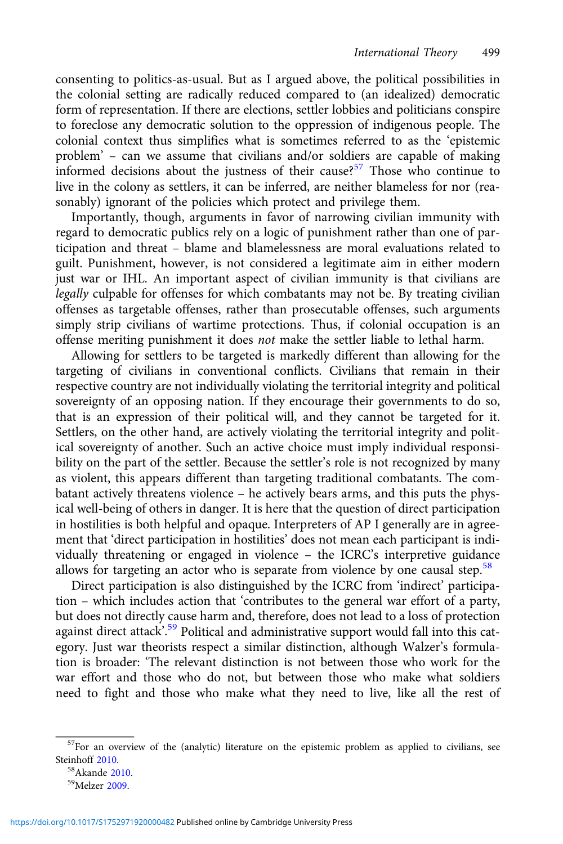consenting to politics-as-usual. But as I argued above, the political possibilities in the colonial setting are radically reduced compared to (an idealized) democratic form of representation. If there are elections, settler lobbies and politicians conspire to foreclose any democratic solution to the oppression of indigenous people. The colonial context thus simplifies what is sometimes referred to as the 'epistemic problem' – can we assume that civilians and/or soldiers are capable of making informed decisions about the justness of their cause?<sup>57</sup> Those who continue to live in the colony as settlers, it can be inferred, are neither blameless for nor (reasonably) ignorant of the policies which protect and privilege them.

Importantly, though, arguments in favor of narrowing civilian immunity with regard to democratic publics rely on a logic of punishment rather than one of participation and threat – blame and blamelessness are moral evaluations related to guilt. Punishment, however, is not considered a legitimate aim in either modern just war or IHL. An important aspect of civilian immunity is that civilians are legally culpable for offenses for which combatants may not be. By treating civilian offenses as targetable offenses, rather than prosecutable offenses, such arguments simply strip civilians of wartime protections. Thus, if colonial occupation is an offense meriting punishment it does not make the settler liable to lethal harm.

Allowing for settlers to be targeted is markedly different than allowing for the targeting of civilians in conventional conflicts. Civilians that remain in their respective country are not individually violating the territorial integrity and political sovereignty of an opposing nation. If they encourage their governments to do so, that is an expression of their political will, and they cannot be targeted for it. Settlers, on the other hand, are actively violating the territorial integrity and political sovereignty of another. Such an active choice must imply individual responsibility on the part of the settler. Because the settler's role is not recognized by many as violent, this appears different than targeting traditional combatants. The combatant actively threatens violence – he actively bears arms, and this puts the physical well-being of others in danger. It is here that the question of direct participation in hostilities is both helpful and opaque. Interpreters of AP I generally are in agreement that 'direct participation in hostilities' does not mean each participant is individually threatening or engaged in violence – the ICRC's interpretive guidance allows for targeting an actor who is separate from violence by one causal step. $58$ 

Direct participation is also distinguished by the ICRC from 'indirect' participation – which includes action that 'contributes to the general war effort of a party, but does not directly cause harm and, therefore, does not lead to a loss of protection against direct attack<sup>', 59</sup> Political and administrative support would fall into this category. Just war theorists respect a similar distinction, although Walzer's formulation is broader: 'The relevant distinction is not between those who work for the war effort and those who do not, but between those who make what soldiers need to fight and those who make what they need to live, like all the rest of

 $57$ For an overview of the (analytic) literature on the epistemic problem as applied to civilians, see<br>Steinhoff 2010.

 $58$ Akande [2010](#page-22-0).<br> $59$ Melzer [2009](#page-21-0).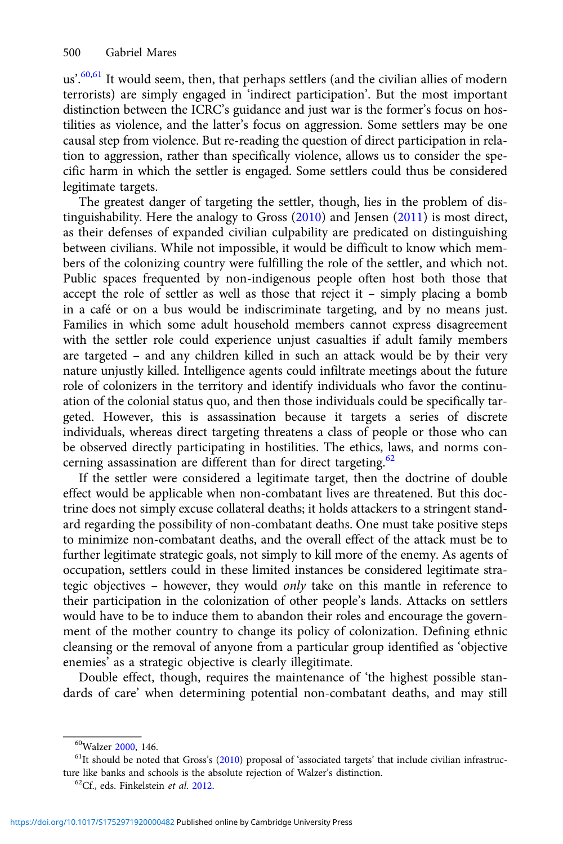us'.<sup>60,61</sup> It would seem, then, that perhaps settlers (and the civilian allies of modern terrorists) are simply engaged in 'indirect participation'. But the most important distinction between the ICRC's guidance and just war is the former's focus on hostilities as violence, and the latter's focus on aggression. Some settlers may be one causal step from violence. But re-reading the question of direct participation in relation to aggression, rather than specifically violence, allows us to consider the specific harm in which the settler is engaged. Some settlers could thus be considered legitimate targets.

The greatest danger of targeting the settler, though, lies in the problem of distinguishability. Here the analogy to Gross [\(2010\)](#page-21-0) and Jensen [\(2011\)](#page-21-0) is most direct, as their defenses of expanded civilian culpability are predicated on distinguishing between civilians. While not impossible, it would be difficult to know which members of the colonizing country were fulfilling the role of the settler, and which not. Public spaces frequented by non-indigenous people often host both those that accept the role of settler as well as those that reject it – simply placing a bomb in a café or on a bus would be indiscriminate targeting, and by no means just. Families in which some adult household members cannot express disagreement with the settler role could experience unjust casualties if adult family members are targeted – and any children killed in such an attack would be by their very nature unjustly killed. Intelligence agents could infiltrate meetings about the future role of colonizers in the territory and identify individuals who favor the continuation of the colonial status quo, and then those individuals could be specifically targeted. However, this is assassination because it targets a series of discrete individuals, whereas direct targeting threatens a class of people or those who can be observed directly participating in hostilities. The ethics, laws, and norms concerning assassination are different than for direct targeting. $62$ 

If the settler were considered a legitimate target, then the doctrine of double effect would be applicable when non-combatant lives are threatened. But this doctrine does not simply excuse collateral deaths; it holds attackers to a stringent standard regarding the possibility of non-combatant deaths. One must take positive steps to minimize non-combatant deaths, and the overall effect of the attack must be to further legitimate strategic goals, not simply to kill more of the enemy. As agents of occupation, settlers could in these limited instances be considered legitimate strategic objectives – however, they would only take on this mantle in reference to their participation in the colonization of other people's lands. Attacks on settlers would have to be to induce them to abandon their roles and encourage the government of the mother country to change its policy of colonization. Defining ethnic cleansing or the removal of anyone from a particular group identified as 'objective enemies' as a strategic objective is clearly illegitimate.

Double effect, though, requires the maintenance of 'the highest possible standards of care' when determining potential non-combatant deaths, and may still

<sup>&</sup>lt;sup>60</sup>Walzer [2000](#page-22-0), 146.<br><sup>61</sup>It should be noted that Gross's [\(2010](#page-21-0)) proposal of 'associated targets' that include civilian infrastructure like banks and schools is the absolute rejection of Walzer's distinction.  $^{62}$ Cf., eds. Finkelstein *et al.* [2012](#page-21-0).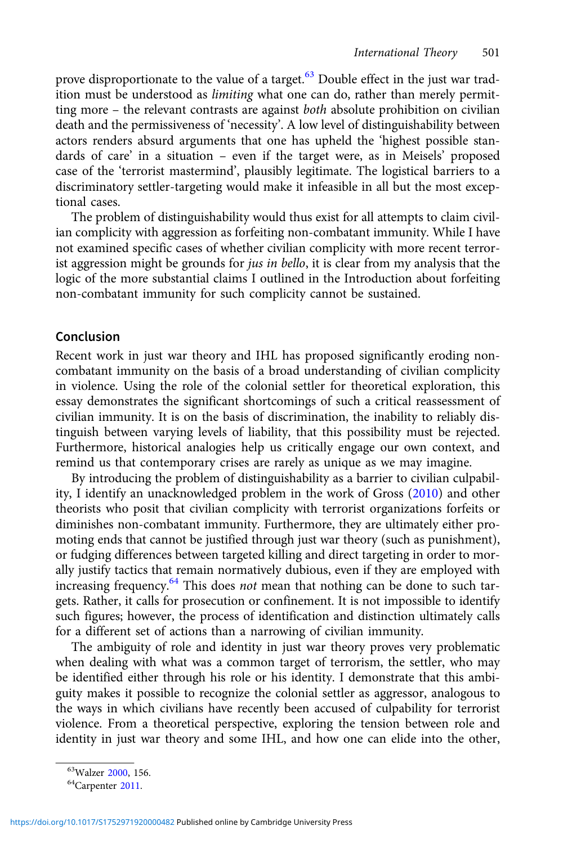prove disproportionate to the value of a target.<sup>63</sup> Double effect in the just war tradition must be understood as *limiting* what one can do, rather than merely permitting more – the relevant contrasts are against both absolute prohibition on civilian death and the permissiveness of 'necessity'. A low level of distinguishability between actors renders absurd arguments that one has upheld the 'highest possible standards of care' in a situation – even if the target were, as in Meisels' proposed case of the 'terrorist mastermind', plausibly legitimate. The logistical barriers to a discriminatory settler-targeting would make it infeasible in all but the most exceptional cases.

The problem of distinguishability would thus exist for all attempts to claim civilian complicity with aggression as forfeiting non-combatant immunity. While I have not examined specific cases of whether civilian complicity with more recent terrorist aggression might be grounds for *jus in bello*, it is clear from my analysis that the logic of the more substantial claims I outlined in the Introduction about forfeiting non-combatant immunity for such complicity cannot be sustained.

#### Conclusion

Recent work in just war theory and IHL has proposed significantly eroding noncombatant immunity on the basis of a broad understanding of civilian complicity in violence. Using the role of the colonial settler for theoretical exploration, this essay demonstrates the significant shortcomings of such a critical reassessment of civilian immunity. It is on the basis of discrimination, the inability to reliably distinguish between varying levels of liability, that this possibility must be rejected. Furthermore, historical analogies help us critically engage our own context, and remind us that contemporary crises are rarely as unique as we may imagine.

By introducing the problem of distinguishability as a barrier to civilian culpability, I identify an unacknowledged problem in the work of Gross ([2010](#page-21-0)) and other theorists who posit that civilian complicity with terrorist organizations forfeits or diminishes non-combatant immunity. Furthermore, they are ultimately either promoting ends that cannot be justified through just war theory (such as punishment), or fudging differences between targeted killing and direct targeting in order to morally justify tactics that remain normatively dubious, even if they are employed with increasing frequency. $64$  This does not mean that nothing can be done to such targets. Rather, it calls for prosecution or confinement. It is not impossible to identify such figures; however, the process of identification and distinction ultimately calls for a different set of actions than a narrowing of civilian immunity.

The ambiguity of role and identity in just war theory proves very problematic when dealing with what was a common target of terrorism, the settler, who may be identified either through his role or his identity. I demonstrate that this ambiguity makes it possible to recognize the colonial settler as aggressor, analogous to the ways in which civilians have recently been accused of culpability for terrorist violence. From a theoretical perspective, exploring the tension between role and identity in just war theory and some IHL, and how one can elide into the other,

<sup>&</sup>lt;sup>63</sup>Walzer [2000,](#page-22-0) 156.<br><sup>64</sup>Carpenter [2011](#page-20-0).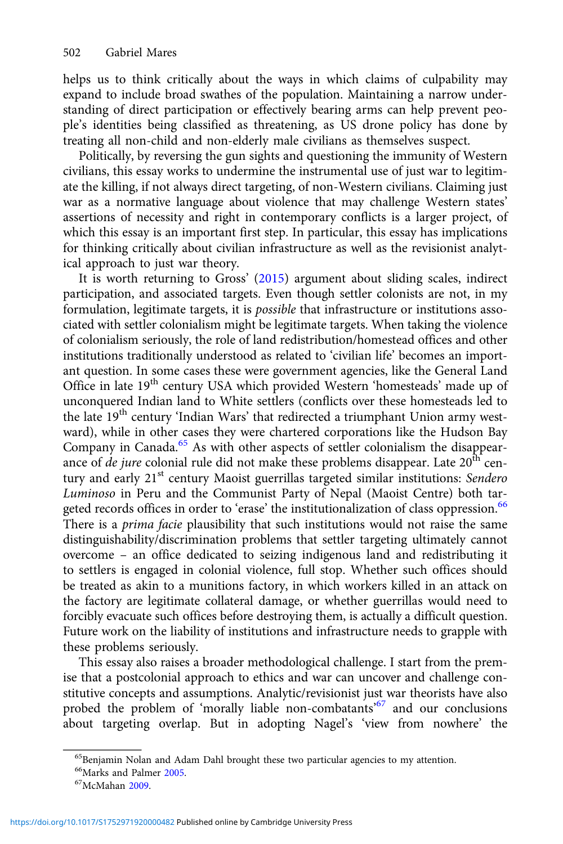helps us to think critically about the ways in which claims of culpability may expand to include broad swathes of the population. Maintaining a narrow understanding of direct participation or effectively bearing arms can help prevent people's identities being classified as threatening, as US drone policy has done by treating all non-child and non-elderly male civilians as themselves suspect.

Politically, by reversing the gun sights and questioning the immunity of Western civilians, this essay works to undermine the instrumental use of just war to legitimate the killing, if not always direct targeting, of non-Western civilians. Claiming just war as a normative language about violence that may challenge Western states' assertions of necessity and right in contemporary conflicts is a larger project, of which this essay is an important first step. In particular, this essay has implications for thinking critically about civilian infrastructure as well as the revisionist analytical approach to just war theory.

It is worth returning to Gross' ([2015\)](#page-21-0) argument about sliding scales, indirect participation, and associated targets. Even though settler colonists are not, in my formulation, legitimate targets, it is possible that infrastructure or institutions associated with settler colonialism might be legitimate targets. When taking the violence of colonialism seriously, the role of land redistribution/homestead offices and other institutions traditionally understood as related to 'civilian life' becomes an important question. In some cases these were government agencies, like the General Land Office in late 19<sup>th</sup> century USA which provided Western 'homesteads' made up of unconquered Indian land to White settlers (conflicts over these homesteads led to the late 19<sup>th</sup> century 'Indian Wars' that redirected a triumphant Union army westward), while in other cases they were chartered corporations like the Hudson Bay Company in Canada.<sup>65</sup> As with other aspects of settler colonialism the disappearance of *de jure* colonial rule did not make these problems disappear. Late  $20<sup>th</sup>$  century and early 21<sup>st</sup> century Maoist guerrillas targeted similar institutions: Sendero Luminoso in Peru and the Communist Party of Nepal (Maoist Centre) both targeted records offices in order to 'erase' the institutionalization of class oppression.<sup>66</sup> There is a *prima facie* plausibility that such institutions would not raise the same distinguishability/discrimination problems that settler targeting ultimately cannot overcome – an office dedicated to seizing indigenous land and redistributing it to settlers is engaged in colonial violence, full stop. Whether such offices should be treated as akin to a munitions factory, in which workers killed in an attack on the factory are legitimate collateral damage, or whether guerrillas would need to forcibly evacuate such offices before destroying them, is actually a difficult question. Future work on the liability of institutions and infrastructure needs to grapple with these problems seriously.

This essay also raises a broader methodological challenge. I start from the premise that a postcolonial approach to ethics and war can uncover and challenge constitutive concepts and assumptions. Analytic/revisionist just war theorists have also probed the problem of 'morally liable non-combatants'<sup>67</sup> and our conclusions about targeting overlap. But in adopting Nagel's 'view from nowhere' the

<sup>&</sup>lt;sup>65</sup>Benjamin Nolan and Adam Dahl brought these two particular agencies to my attention.

 $^{66}$ Marks and Palmer [2005.](#page-21-0)<br> $^{67}$ McMahan [2009.](#page-21-0)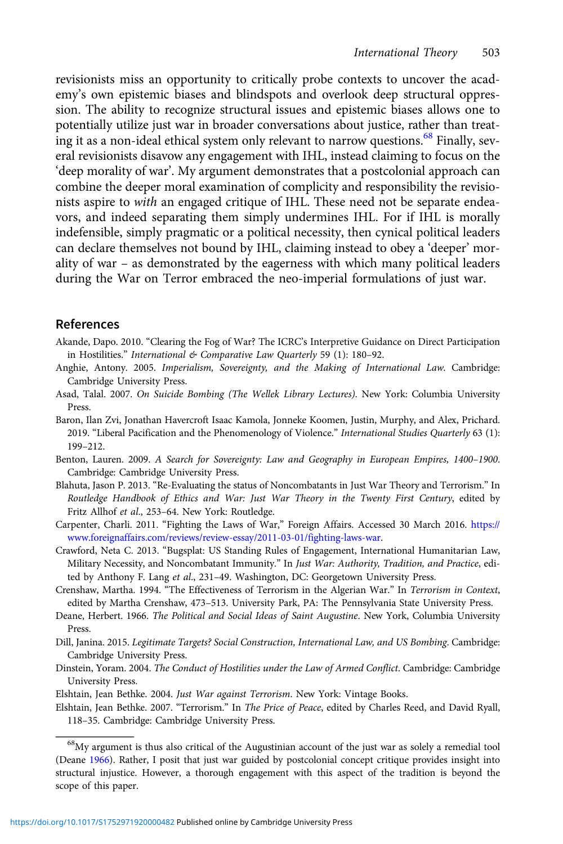<span id="page-20-0"></span>revisionists miss an opportunity to critically probe contexts to uncover the academy's own epistemic biases and blindspots and overlook deep structural oppression. The ability to recognize structural issues and epistemic biases allows one to potentially utilize just war in broader conversations about justice, rather than treating it as a non-ideal ethical system only relevant to narrow questions.<sup>68</sup> Finally, several revisionists disavow any engagement with IHL, instead claiming to focus on the 'deep morality of war'. My argument demonstrates that a postcolonial approach can combine the deeper moral examination of complicity and responsibility the revisionists aspire to with an engaged critique of IHL. These need not be separate endeavors, and indeed separating them simply undermines IHL. For if IHL is morally indefensible, simply pragmatic or a political necessity, then cynical political leaders can declare themselves not bound by IHL, claiming instead to obey a 'deeper' morality of war – as demonstrated by the eagerness with which many political leaders during the War on Terror embraced the neo-imperial formulations of just war.

## References

Akande, Dapo. 2010. "Clearing the Fog of War? The ICRC's Interpretive Guidance on Direct Participation in Hostilities." International & Comparative Law Quarterly 59 (1): 180-92.

- Anghie, Antony. 2005. Imperialism, Sovereignty, and the Making of International Law. Cambridge: Cambridge University Press.
- Asad, Talal. 2007. On Suicide Bombing (The Wellek Library Lectures). New York: Columbia University Press.
- Baron, Ilan Zvi, Jonathan Havercroft Isaac Kamola, Jonneke Koomen, Justin, Murphy, and Alex, Prichard. 2019. "Liberal Pacification and the Phenomenology of Violence." International Studies Quarterly 63 (1): 199–212.
- Benton, Lauren. 2009. A Search for Sovereignty: Law and Geography in European Empires, 1400–1900. Cambridge: Cambridge University Press.
- Blahuta, Jason P. 2013. "Re-Evaluating the status of Noncombatants in Just War Theory and Terrorism." In Routledge Handbook of Ethics and War: Just War Theory in the Twenty First Century, edited by Fritz Allhof et al., 253–64. New York: Routledge.
- Carpenter, Charli. 2011. "Fighting the Laws of War," Foreign Affairs. Accessed 30 March 2016. [https://](https://www.foreignaffairs.com/reviews/review-essay/2011-03-01/fighting-laws-war) [www.foreignaffairs.com/reviews/review-essay/2011-03-01/fighting-laws-war](https://www.foreignaffairs.com/reviews/review-essay/2011-03-01/fighting-laws-war).
- Crawford, Neta C. 2013. "Bugsplat: US Standing Rules of Engagement, International Humanitarian Law, Military Necessity, and Noncombatant Immunity." In Just War: Authority, Tradition, and Practice, edited by Anthony F. Lang et al., 231-49. Washington, DC: Georgetown University Press.

Crenshaw, Martha. 1994. "The Effectiveness of Terrorism in the Algerian War." In Terrorism in Context, edited by Martha Crenshaw, 473–513. University Park, PA: The Pennsylvania State University Press.

- Deane, Herbert. 1966. The Political and Social Ideas of Saint Augustine. New York, Columbia University Press.
- Dill, Janina. 2015. Legitimate Targets? Social Construction, International Law, and US Bombing. Cambridge: Cambridge University Press.
- Dinstein, Yoram. 2004. The Conduct of Hostilities under the Law of Armed Conflict. Cambridge: Cambridge University Press.
- Elshtain, Jean Bethke. 2004. Just War against Terrorism. New York: Vintage Books.

Elshtain, Jean Bethke. 2007. "Terrorism." In The Price of Peace, edited by Charles Reed, and David Ryall, 118–35. Cambridge: Cambridge University Press.

<sup>68</sup>My argument is thus also critical of the Augustinian account of the just war as solely a remedial tool (Deane 1966). Rather, I posit that just war guided by postcolonial concept critique provides insight into structural injustice. However, a thorough engagement with this aspect of the tradition is beyond the scope of this paper.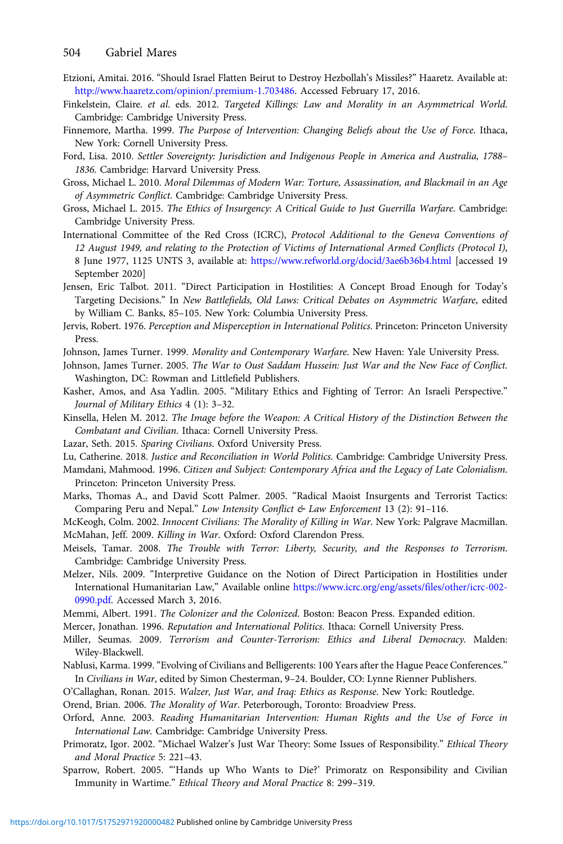- <span id="page-21-0"></span>Etzioni, Amitai. 2016. "Should Israel Flatten Beirut to Destroy Hezbollah's Missiles?" Haaretz. Available at: <http://www.haaretz.com/opinion/.premium-1.703486>. Accessed February 17, 2016.
- Finkelstein, Claire. et al. eds. 2012. Targeted Killings: Law and Morality in an Asymmetrical World. Cambridge: Cambridge University Press.
- Finnemore, Martha. 1999. The Purpose of Intervention: Changing Beliefs about the Use of Force. Ithaca, New York: Cornell University Press.
- Ford, Lisa. 2010. Settler Sovereignty: Jurisdiction and Indigenous People in America and Australia, 1788– 1836. Cambridge: Harvard University Press.
- Gross, Michael L. 2010. Moral Dilemmas of Modern War: Torture, Assassination, and Blackmail in an Age of Asymmetric Conflict. Cambridge: Cambridge University Press.
- Gross, Michael L. 2015. The Ethics of Insurgency: A Critical Guide to Just Guerrilla Warfare. Cambridge: Cambridge University Press.
- International Committee of the Red Cross (ICRC), Protocol Additional to the Geneva Conventions of 12 August 1949, and relating to the Protection of Victims of International Armed Conflicts (Protocol I), 8 June 1977, 1125 UNTS 3, available at: <https://www.refworld.org/docid/3ae6b36b4.html> [accessed 19 September 2020]
- Jensen, Eric Talbot. 2011. "Direct Participation in Hostilities: A Concept Broad Enough for Today's Targeting Decisions." In New Battlefields, Old Laws: Critical Debates on Asymmetric Warfare, edited by William C. Banks, 85–105. New York: Columbia University Press.
- Jervis, Robert. 1976. Perception and Misperception in International Politics. Princeton: Princeton University Press.
- Johnson, James Turner. 1999. Morality and Contemporary Warfare. New Haven: Yale University Press.
- Johnson, James Turner. 2005. The War to Oust Saddam Hussein: Just War and the New Face of Conflict. Washington, DC: Rowman and Littlefield Publishers.
- Kasher, Amos, and Asa Yadlin. 2005. "Military Ethics and Fighting of Terror: An Israeli Perspective." Journal of Military Ethics 4 (1): 3–32.
- Kinsella, Helen M. 2012. The Image before the Weapon: A Critical History of the Distinction Between the Combatant and Civilian. Ithaca: Cornell University Press.
- Lazar, Seth. 2015. Sparing Civilians. Oxford University Press.
- Lu, Catherine. 2018. Justice and Reconciliation in World Politics. Cambridge: Cambridge University Press.
- Mamdani, Mahmood. 1996. Citizen and Subject: Contemporary Africa and the Legacy of Late Colonialism. Princeton: Princeton University Press.
- Marks, Thomas A., and David Scott Palmer. 2005. "Radical Maoist Insurgents and Terrorist Tactics: Comparing Peru and Nepal." Low Intensity Conflict & Law Enforcement 13 (2): 91–116.
- McKeogh, Colm. 2002. Innocent Civilians: The Morality of Killing in War. New York: Palgrave Macmillan. McMahan, Jeff. 2009. Killing in War. Oxford: Oxford Clarendon Press.
- Meisels, Tamar. 2008. The Trouble with Terror: Liberty, Security, and the Responses to Terrorism. Cambridge: Cambridge University Press.
- Melzer, Nils. 2009. "Interpretive Guidance on the Notion of Direct Participation in Hostilities under International Humanitarian Law," Available online [https://www.icrc.org/eng/assets/files/other/icrc-002-](https://www.icrc.org/eng/assets/files/other/icrc-002-0990.pdf) [0990.pdf.](https://www.icrc.org/eng/assets/files/other/icrc-002-0990.pdf) Accessed March 3, 2016.
- Memmi, Albert. 1991. The Colonizer and the Colonized. Boston: Beacon Press. Expanded edition.
- Mercer, Jonathan. 1996. Reputation and International Politics. Ithaca: Cornell University Press.
- Miller, Seumas. 2009. Terrorism and Counter-Terrorism: Ethics and Liberal Democracy. Malden: Wiley-Blackwell.
- Nablusi, Karma. 1999. "Evolving of Civilians and Belligerents: 100 Years after the Hague Peace Conferences." In Civilians in War, edited by Simon Chesterman, 9–24. Boulder, CO: Lynne Rienner Publishers.
- O'Callaghan, Ronan. 2015. Walzer, Just War, and Iraq: Ethics as Response. New York: Routledge.

Orend, Brian. 2006. The Morality of War. Peterborough, Toronto: Broadview Press.

- Orford, Anne. 2003. Reading Humanitarian Intervention: Human Rights and the Use of Force in International Law. Cambridge: Cambridge University Press.
- Primoratz, Igor. 2002. "Michael Walzer's Just War Theory: Some Issues of Responsibility." Ethical Theory and Moral Practice 5: 221–43.
- Sparrow, Robert. 2005. "'Hands up Who Wants to Die?' Primoratz on Responsibility and Civilian Immunity in Wartime." Ethical Theory and Moral Practice 8: 299–319.